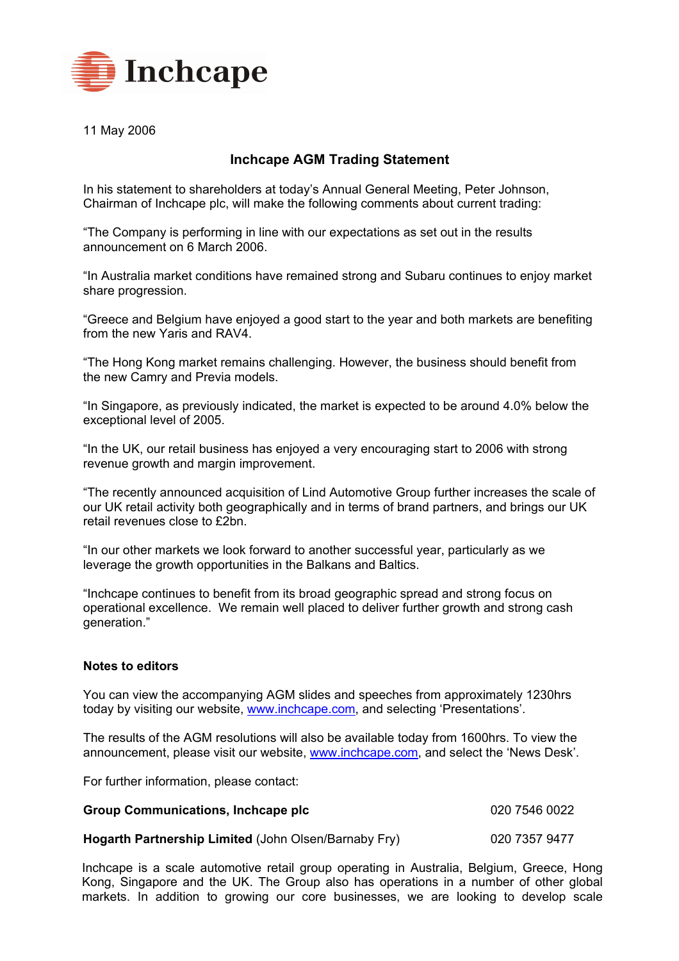

11 May 2006

## **Inchcape AGM Trading Statement**

In his statement to shareholders at todayís Annual General Meeting, Peter Johnson, Chairman of Inchcape plc, will make the following comments about current trading:

ìThe Company is performing in line with our expectations as set out in the results announcement on 6 March 2006.

"In Australia market conditions have remained strong and Subaru continues to enjoy market share progression.

ìGreece and Belgium have enjoyed a good start to the year and both markets are benefiting from the new Yaris and RAV4.

ìThe Hong Kong market remains challenging. However, the business should benefit from the new Camry and Previa models.

"In Singapore, as previously indicated, the market is expected to be around 4.0% below the exceptional level of 2005.

"In the UK, our retail business has enjoyed a very encouraging start to 2006 with strong revenue growth and margin improvement.

ìThe recently announced acquisition of Lind Automotive Group further increases the scale of our UK retail activity both geographically and in terms of brand partners, and brings our UK retail revenues close to £2bn.

"In our other markets we look forward to another successful year, particularly as we leverage the growth opportunities in the Balkans and Baltics.

"Inchcape continues to benefit from its broad geographic spread and strong focus on operational excellence. We remain well placed to deliver further growth and strong cash generation."

## **Notes to editors**

You can view the accompanying AGM slides and speeches from approximately 1230hrs today by visiting our website, [www.inchcape.com](http://www.inchcape.com/), and selecting 'Presentations'.

The results of the AGM resolutions will also be available today from 1600hrs. To view the announcement, please visit our website, [www.inchcape.com](http://www.inchcape.com/), and select the 'News Desk'.

For further information, please contact:

| <b>Group Communications, Inchcape plc</b>            | 020 7546 0022 |
|------------------------------------------------------|---------------|
| Hogarth Partnership Limited (John Olsen/Barnaby Fry) | 020 7357 9477 |

Inchcape is a scale automotive retail group operating in Australia, Belgium, Greece, Hong Kong, Singapore and the UK. The Group also has operations in a number of other global markets. In addition to growing our core businesses, we are looking to develop scale